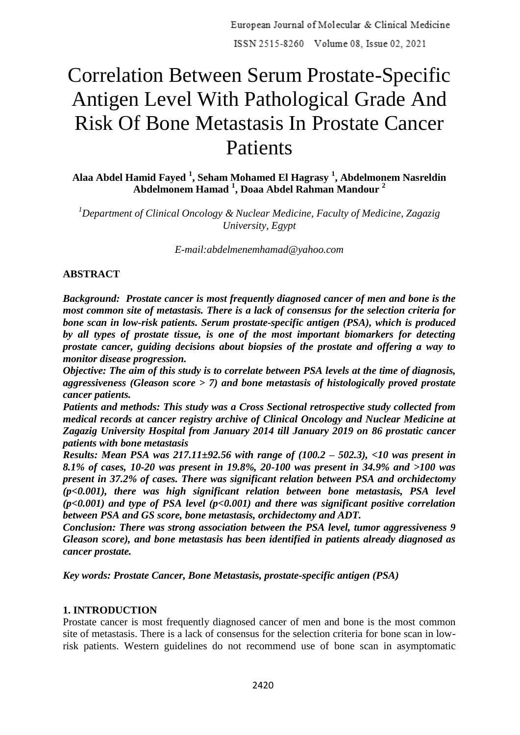# Correlation Between Serum Prostate-Specific Antigen Level With Pathological Grade And Risk Of Bone Metastasis In Prostate Cancer Patients

**Alaa Abdel Hamid Fayed <sup>1</sup> , Seham Mohamed El Hagrasy <sup>1</sup> , Abdelmonem Nasreldin Abdelmonem Hamad <sup>1</sup> , Doaa Abdel Rahman Mandour <sup>2</sup>**

*<sup>1</sup>Department of Clinical Oncology & Nuclear Medicine, Faculty of Medicine, Zagazig University, Egypt*

*E-mail:abdelmenemhamad@yahoo.com*

## **ABSTRACT**

*Background: Prostate cancer is most frequently diagnosed cancer of men and bone is the most common site of metastasis. There is a lack of consensus for the selection criteria for bone scan in low-risk patients. Serum prostate-specific antigen (PSA), which is produced by all types of prostate tissue, is one of the most important biomarkers for detecting prostate cancer, guiding decisions about biopsies of the prostate and offering a way to monitor disease progression.*

*Objective: The aim of this study is to correlate between PSA levels at the time of diagnosis, aggressiveness (Gleason score > 7) and bone metastasis of histologically proved prostate cancer patients.*

*Patients and methods: This study was a Cross Sectional retrospective study collected from medical records at cancer registry archive of Clinical Oncology and Nuclear Medicine at Zagazig University Hospital from January 2014 till January 2019 on 86 prostatic cancer patients with bone metastasis*

*Results: Mean PSA was 217.11±92.56 with range of (100.2 – 502.3), <10 was present in 8.1% of cases, 10-20 was present in 19.8%, 20-100 was present in 34.9% and >100 was present in 37.2% of cases. There was significant relation between PSA and orchidectomy (p<0.001), there was high significant relation between bone metastasis, PSA level (p<0.001) and type of PSA level (p<0.001) and there was significant positive correlation between PSA and GS score, bone metastasis, orchidectomy and ADT.*

*Conclusion: There was strong association between the PSA level, tumor aggressiveness 9 Gleason score), and bone metastasis has been identified in patients already diagnosed as cancer prostate.*

*Key words: Prostate Cancer, Bone Metastasis, prostate-specific antigen (PSA)*

#### **1. INTRODUCTION**

Prostate cancer is most frequently diagnosed cancer of men and bone is the most common site of metastasis. There is a lack of consensus for the selection criteria for bone scan in lowrisk patients. Western guidelines do not recommend use of bone scan in asymptomatic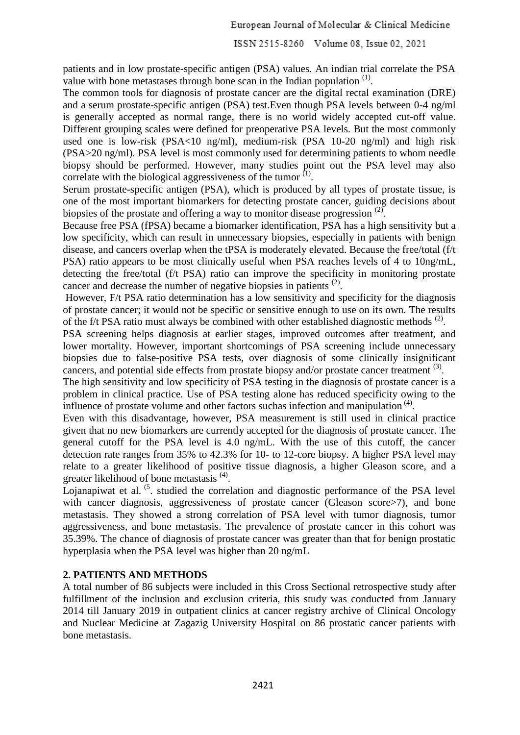European Journal of Molecular & Clinical Medicine

ISSN 2515-8260 Volume 08, Issue 02, 2021

patients and in low prostate-specific antigen (PSA) values. An indian trial correlate the PSA value with bone metastases through bone scan in the Indian population  $<sup>(1)</sup>$ .</sup>

The common tools for diagnosis of prostate cancer are the digital rectal examination (DRE) and a serum prostate-specific antigen (PSA) test.Even though PSA levels between 0-4 ng/ml is generally accepted as normal range, there is no world widely accepted cut-off value. Different grouping scales were defined for preoperative PSA levels. But the most commonly used one is low-risk (PSA<10 ng/ml), medium-risk (PSA 10-20 ng/ml) and high risk (PSA>20 ng/ml). PSA level is most commonly used for determining patients to whom needle biopsy should be performed. However, many studies point out the PSA level may also correlate with the biological aggressiveness of the tumor  $<sup>(1)</sup>$ .</sup>

Serum prostate-specific antigen (PSA), which is produced by all types of prostate tissue, is one of the most important biomarkers for detecting prostate cancer, guiding decisions about biopsies of the prostate and offering a way to monitor disease progression  $(2)$ .

Because free PSA (fPSA) became a biomarker identification, PSA has a high sensitivity but a low specificity, which can result in unnecessary biopsies, especially in patients with benign disease, and cancers overlap when the tPSA is moderately elevated. Because the free/total (f/t PSA) ratio appears to be most clinically useful when PSA reaches levels of 4 to 10ng/mL, detecting the free/total (f/t PSA) ratio can improve the specificity in monitoring prostate cancer and decrease the number of negative biopsies in patients  $(2)$ .

However, F/t PSA ratio determination has a low sensitivity and specificity for the diagnosis of prostate cancer; it would not be specific or sensitive enough to use on its own. The results of the f/t PSA ratio must always be combined with other established diagnostic methods  $<sup>(2)</sup>$ .</sup>

PSA screening helps diagnosis at earlier stages, improved outcomes after treatment, and lower mortality. However, important shortcomings of PSA screening include unnecessary biopsies due to false-positive PSA tests, over diagnosis of some clinically insignificant cancers, and potential side effects from prostate biopsy and/or prostate cancer treatment <sup>(3)</sup>.

The high sensitivity and low specificity of PSA testing in the diagnosis of prostate cancer is a problem in clinical practice. Use of PSA testing alone has reduced specificity owing to the influence of prostate volume and other factors suchas infection and manipulation<sup>(4)</sup>.

Even with this disadvantage, however, PSA measurement is still used in clinical practice given that no new biomarkers are currently accepted for the diagnosis of prostate cancer. The general cutoff for the PSA level is 4.0 ng/mL. With the use of this cutoff, the cancer detection rate ranges from 35% to 42.3% for 10- to 12-core biopsy. A higher PSA level may relate to a greater likelihood of positive tissue diagnosis, a higher Gleason score, and a greater likelihood of bone metastasis<sup>(4)</sup>.

Lojanapiwat et al. <sup>(5</sup>) studied the correlation and diagnostic performance of the PSA level with cancer diagnosis, aggressiveness of prostate cancer (Gleason score in and bone metastasis. They showed a strong correlation of PSA level with tumor diagnosis, tumor aggressiveness, and bone metastasis. The prevalence of prostate cancer in this cohort was 35.39%. The chance of diagnosis of prostate cancer was greater than that for benign prostatic hyperplasia when the PSA level was higher than 20 ng/mL

# **2. PATIENTS AND METHODS**

A total number of 86 subjects were included in this Cross Sectional retrospective study after fulfillment of the inclusion and exclusion criteria, this study was conducted from January 2014 till January 2019 in outpatient clinics at cancer registry archive of Clinical Oncology and Nuclear Medicine at Zagazig University Hospital on 86 prostatic cancer patients with bone metastasis.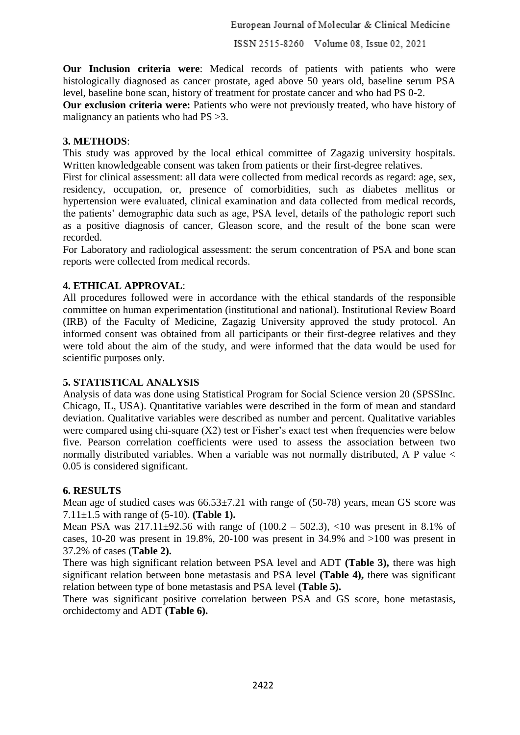**Our Inclusion criteria were**: Medical records of patients with patients who were histologically diagnosed as cancer prostate, aged above 50 years old, baseline serum PSA level, baseline bone scan, history of treatment for prostate cancer and who had PS 0-2.

**Our exclusion criteria were:** Patients who were not previously treated, who have history of malignancy an patients who had PS >3.

## **3. METHODS**:

This study was approved by the local ethical committee of Zagazig university hospitals. Written knowledgeable consent was taken from patients or their first-degree relatives.

First for clinical assessment: all data were collected from medical records as regard: age, sex, residency, occupation, or, presence of comorbidities, such as diabetes mellitus or hypertension were evaluated, clinical examination and data collected from medical records, the patients' demographic data such as age, PSA level, details of the pathologic report such as a positive diagnosis of cancer, Gleason score, and the result of the bone scan were recorded.

For Laboratory and radiological assessment: the serum concentration of PSA and bone scan reports were collected from medical records.

# **4. ETHICAL APPROVAL**:

All procedures followed were in accordance with the ethical standards of the responsible committee on human experimentation (institutional and national). Institutional Review Board (IRB) of the Faculty of Medicine, Zagazig University approved the study protocol. An informed consent was obtained from all participants or their first-degree relatives and they were told about the aim of the study, and were informed that the data would be used for scientific purposes only.

# **5. STATISTICAL ANALYSIS**

Analysis of data was done using Statistical Program for Social Science version 20 (SPSSInc. Chicago, IL, USA). Quantitative variables were described in the form of mean and standard deviation. Qualitative variables were described as number and percent. Qualitative variables were compared using chi-square  $(X2)$  test or Fisher's exact test when frequencies were below five. Pearson correlation coefficients were used to assess the association between two normally distributed variables. When a variable was not normally distributed, A P value < 0.05 is considered significant.

# **6. RESULTS**

Mean age of studied cases was  $66.53\pm7.21$  with range of  $(50-78)$  years, mean GS score was 7.11±1.5 with range of (5-10). **(Table 1).**

Mean PSA was  $217.11\pm92.56$  with range of  $(100.2 - 502.3)$ ,  $\lt 10$  was present in 8.1% of cases, 10-20 was present in 19.8%, 20-100 was present in 34.9% and >100 was present in 37.2% of cases (**Table 2).**

There was high significant relation between PSA level and ADT **(Table 3),** there was high significant relation between bone metastasis and PSA level **(Table 4),** there was significant relation between type of bone metastasis and PSA level **(Table 5).**

There was significant positive correlation between PSA and GS score, bone metastasis, orchidectomy and ADT **(Table 6).**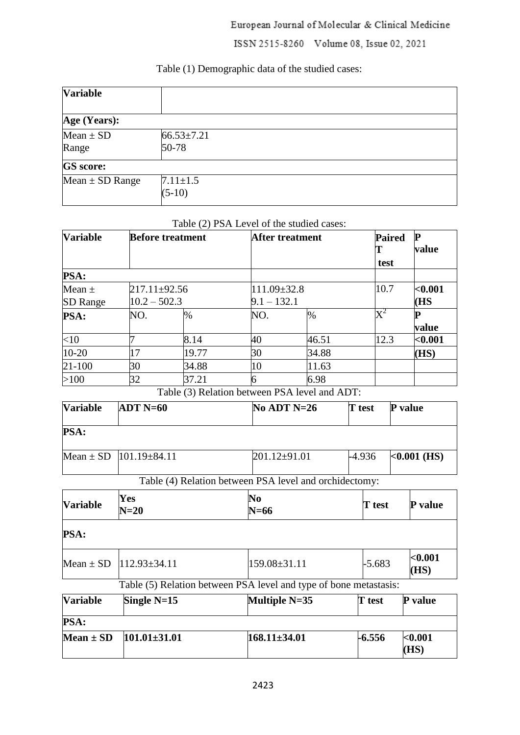# European Journal of Molecular & Clinical Medicine

ISSN 2515-8260 Volume 08, Issue 02, 2021

# Table (1) Demographic data of the studied cases:

| <b>Variable</b>        |                               |
|------------------------|-------------------------------|
| Age (Years):           |                               |
| $Mean \pm SD$<br>Range | $66.53 \pm 7.21$<br>$50 - 78$ |
| <b>GS</b> score:       |                               |
| Mean $\pm$ SD Range    | $7.11 \pm 1.5$<br>$(5-10)$    |

## Table (2) PSA Level of the studied cases:

| <b>Variable</b>                    | <b>Before treatment</b> |                                                                   |               | After treatment                  |  | <b>Paired</b><br>T<br>test | $\mathbf{P}$<br>value |
|------------------------------------|-------------------------|-------------------------------------------------------------------|---------------|----------------------------------|--|----------------------------|-----------------------|
| PSA:                               |                         |                                                                   |               |                                  |  |                            |                       |
| Mean $\pm$                         | $217.11 \pm 92.56$      |                                                                   | 111.09±32.8   |                                  |  | 10.7                       | ${<}0.001$            |
| <b>SD</b> Range                    | $10.2 - 502.3$          |                                                                   | $9.1 - 132.1$ |                                  |  |                            | (HS                   |
| <b>PSA:</b>                        | NO.                     | $\%$                                                              | NO.           | $\frac{0}{6}$                    |  | $\mathrm{X}^2$             | P<br>value            |
| $<$ 10                             | 7                       | 8.14                                                              | 40            | 46.51                            |  | 12.3                       | $0.001$               |
| 10-20                              | 17                      | 19.77                                                             | 30            | 34.88                            |  |                            | (HS)                  |
| $21 - 100$                         | 30                      | 34.88                                                             | 10            | 11.63                            |  |                            |                       |
| >100                               | 32                      | 37.21                                                             | 6             | 6.98                             |  |                            |                       |
|                                    |                         | Table (3) Relation between PSA level and ADT:                     |               |                                  |  |                            |                       |
| <b>Variable</b>                    | $ADT N=60$              |                                                                   |               | $No$ ADT $N=26$<br><b>T</b> test |  |                            | P value               |
| PSA:                               |                         |                                                                   |               |                                  |  |                            |                       |
| Mean $\pm$ SD                      |                         | $101.19 \pm 84.11$                                                |               | $201.12 \pm 91.01$               |  | $-4.936$                   | $< 0.001$ (HS)        |
|                                    |                         | Table (4) Relation between PSA level and orchidectomy:            |               |                                  |  |                            |                       |
| <b>Variable</b>                    | Yes<br>$N=20$           |                                                                   | No<br>$N=66$  |                                  |  | T test                     | P value               |
| PSA:                               |                         |                                                                   |               |                                  |  |                            |                       |
| Mean $\pm$ SD   112.93 $\pm$ 34.11 |                         |                                                                   | 159.08±31.11  |                                  |  | $-5.683$                   | $0.001$<br>(HS)       |
|                                    |                         | Table (5) Relation between PSA level and type of bone metastasis: |               |                                  |  |                            |                       |
| <b>Variable</b>                    | Single $N=15$           |                                                                   | Multiple N=35 |                                  |  | T test                     | P value               |

| <b>PSA:</b>   |                    |                  |          |                 |
|---------------|--------------------|------------------|----------|-----------------|
| Mean $\pm$ SD | $101.01 \pm 31.01$ | $168.11\pm34.01$ | $-6.556$ | $0.001$<br>(HS) |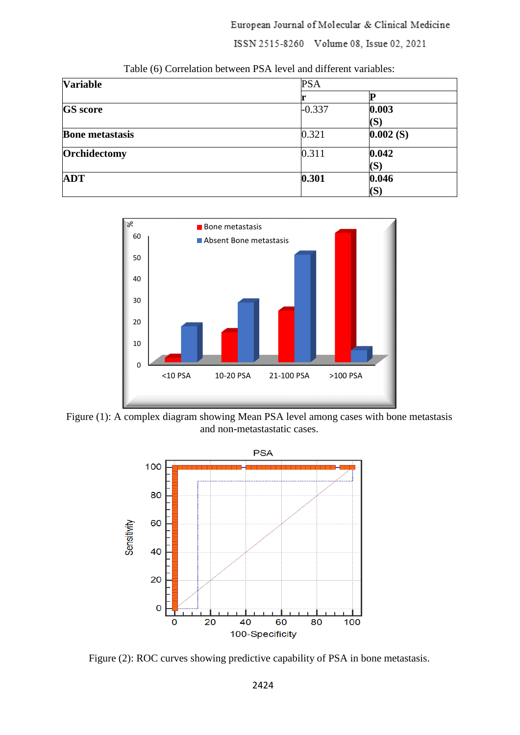European Journal of Molecular & Clinical Medicine

ISSN 2515-8260 Volume 08, Issue 02, 2021

| <b>Variable</b>        | <b>PSA</b> |                |  |  |
|------------------------|------------|----------------|--|--|
|                        |            |                |  |  |
| <b>GS</b> score        | $-0.337$   | 0.003          |  |  |
|                        |            | $(\mathbf{S})$ |  |  |
| <b>Bone metastasis</b> | 0.321      | 0.002(S)       |  |  |
| Orchidectomy           | 0.311      | 0.042          |  |  |
|                        |            | (S)            |  |  |
| <b>ADT</b>             | 0.301      | 0.046          |  |  |
|                        |            | $(\mathbf{S})$ |  |  |

Table (6) Correlation between PSA level and different variables:



Figure (1): A complex diagram showing Mean PSA level among cases with bone metastasis and non-metastastatic cases.



Figure (2): ROC curves showing predictive capability of PSA in bone metastasis.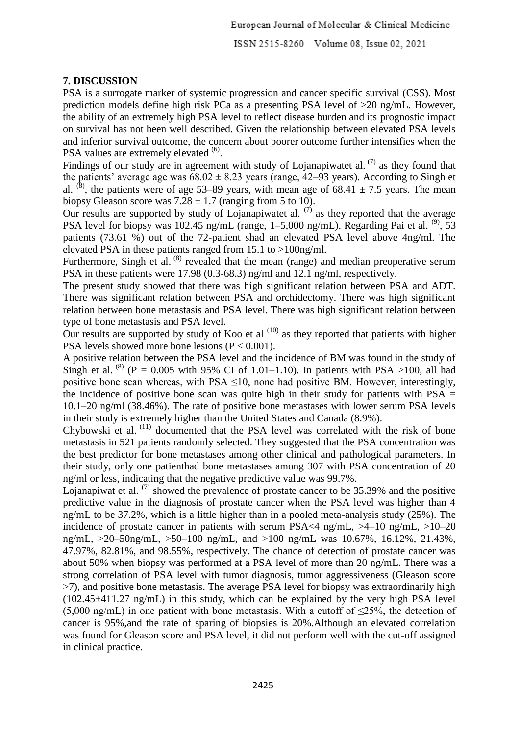## **7. DISCUSSION**

PSA is a surrogate marker of systemic progression and cancer specific survival (CSS). Most prediction models define high risk PCa as a presenting PSA level of >20 ng/mL. However, the ability of an extremely high PSA level to reflect disease burden and its prognostic impact on survival has not been well described. Given the relationship between elevated PSA levels and inferior survival outcome, the concern about poorer outcome further intensifies when the PSA values are extremely elevated <sup>(6)</sup>.

Findings of our study are in agreement with study of Lojanapiwatet al.  $(7)$  as they found that the patients' average age was  $68.02 \pm 8.23$  years (range, 42–93 years). According to Singh et al. <sup>(8)</sup>, the patients were of age 53–89 years, with mean age of 68.41  $\pm$  7.5 years. The mean biopsy Gleason score was  $7.28 \pm 1.7$  (ranging from 5 to 10).

Our results are supported by study of Lojanapiwatet al.  $(7)$  as they reported that the average PSA level for biopsy was 102.45 ng/mL (range, 1–5,000 ng/mL). Regarding Pai et al.  $^{(9)}$ , 53 patients (73.61 %) out of the 72-patient shad an elevated PSA level above 4ng/ml. The elevated PSA in these patients ranged from 15.1 to >100ng/ml.

Furthermore, Singh et al.  $(8)$  revealed that the mean (range) and median preoperative serum PSA in these patients were 17.98 (0.3-68.3) ng/ml and 12.1 ng/ml, respectively.

The present study showed that there was high significant relation between PSA and ADT. There was significant relation between PSA and orchidectomy. There was high significant relation between bone metastasis and PSA level. There was high significant relation between type of bone metastasis and PSA level.

Our results are supported by study of Koo et al  $(10)$  as they reported that patients with higher PSA levels showed more bone lesions  $(P < 0.001)$ .

A positive relation between the PSA level and the incidence of BM was found in the study of Singh et al. <sup>(8)</sup> (P = 0.005 with 95% CI of 1.01–1.10). In patients with PSA >100, all had positive bone scan whereas, with PSA  $\leq$ 10, none had positive BM. However, interestingly, the incidence of positive bone scan was quite high in their study for patients with  $PSA =$ 10.1–20 ng/ml (38.46%). The rate of positive bone metastases with lower serum PSA levels in their study is extremely higher than the United States and Canada (8.9%).

Chybowski et al. (11) documented that the PSA level was correlated with the risk of bone metastasis in 521 patients randomly selected. They suggested that the PSA concentration was the best predictor for bone metastases among other clinical and pathological parameters. In their study, only one patienthad bone metastases among 307 with PSA concentration of 20 ng/ml or less, indicating that the negative predictive value was 99.7%.

Lojanapiwat et al.  $(7)$  showed the prevalence of prostate cancer to be 35.39% and the positive predictive value in the diagnosis of prostate cancer when the PSA level was higher than 4 ng/mL to be 37.2%, which is a little higher than in a pooled meta-analysis study (25%). The incidence of prostate cancer in patients with serum PSA<4 ng/mL, >4–10 ng/mL, >10–20 ng/mL, >20–50ng/mL, >50–100 ng/mL, and >100 ng/mL was 10.67%, 16.12%, 21.43%, 47.97%, 82.81%, and 98.55%, respectively. The chance of detection of prostate cancer was about 50% when biopsy was performed at a PSA level of more than 20 ng/mL. There was a strong correlation of PSA level with tumor diagnosis, tumor aggressiveness (Gleason score >7), and positive bone metastasis. The average PSA level for biopsy was extraordinarily high (102.45±411.27 ng/mL) in this study, which can be explained by the very high PSA level (5,000 ng/mL) in one patient with bone metastasis. With a cutoff of  $\leq$ 25%, the detection of cancer is 95%,and the rate of sparing of biopsies is 20%.Although an elevated correlation was found for Gleason score and PSA level, it did not perform well with the cut-off assigned in clinical practice.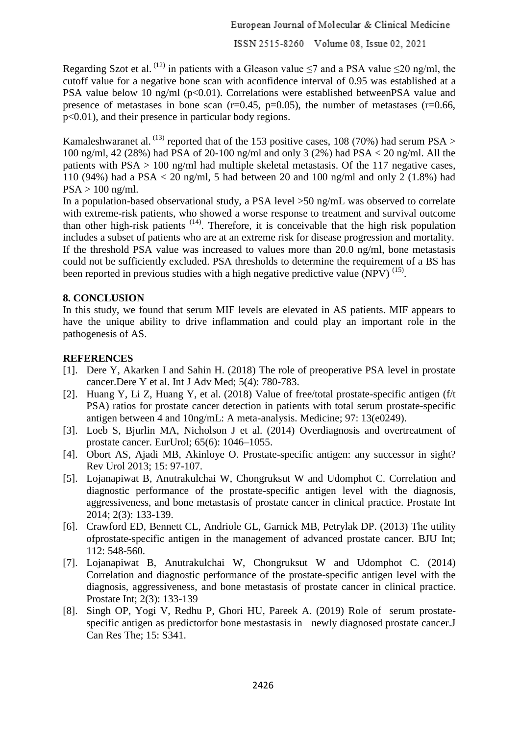Regarding Szot et al. <sup>(12)</sup> in patients with a Gleason value  $\leq$ 7 and a PSA value  $\leq$ 20 ng/ml, the cutoff value for a negative bone scan with aconfidence interval of 0.95 was established at a PSA value below 10 ng/ml (p<0.01). Correlations were established betweenPSA value and presence of metastases in bone scan  $(r=0.45, p=0.05)$ , the number of metastases  $(r=0.66, p=0.05)$ p<0.01), and their presence in particular body regions.

Kamaleshwaranet al. <sup>(13)</sup> reported that of the 153 positive cases, 108 (70%) had serum PSA > 100 ng/ml, 42 (28%) had PSA of 20-100 ng/ml and only 3 (2%) had PSA < 20 ng/ml. All the patients with PSA > 100 ng/ml had multiple skeletal metastasis. Of the 117 negative cases, 110 (94%) had a PSA < 20 ng/ml, 5 had between 20 and 100 ng/ml and only 2 (1.8%) had  $PSA > 100$  ng/ml.

In a population-based observational study, a PSA level >50 ng/mL was observed to correlate with extreme-risk patients, who showed a worse response to treatment and survival outcome than other high-risk patients (14). Therefore, it is conceivable that the high risk population includes a subset of patients who are at an extreme risk for disease progression and mortality. If the threshold PSA value was increased to values more than 20.0 ng/ml, bone metastasis could not be sufficiently excluded. PSA thresholds to determine the requirement of a BS has been reported in previous studies with a high negative predictive value (NPV)<sup>(15)</sup>.

#### **8. CONCLUSION**

In this study, we found that serum MIF levels are elevated in AS patients. MIF appears to have the unique ability to drive inflammation and could play an important role in the pathogenesis of AS.

#### **REFERENCES**

- [1]. Dere Y, Akarken I and Sahin H. (2018) The role of preoperative PSA level in prostate cancer.Dere Y et al. Int J Adv Med; 5(4): 780-783.
- [2]. Huang Y, Li Z, Huang Y, et al. (2018) Value of free/total prostate-specific antigen (f/t PSA) ratios for prostate cancer detection in patients with total serum prostate-specific antigen between 4 and 10ng/mL: A meta-analysis. Medicine; 97: 13(e0249).
- [3]. Loeb S, Bjurlin MA, Nicholson J et al. (2014) Overdiagnosis and overtreatment of prostate cancer. EurUrol; 65(6): 1046–1055.
- [4]. Obort AS, Ajadi MB, Akinloye O. Prostate-specific antigen: any successor in sight? Rev Urol 2013; 15: 97-107.
- [5]. Lojanapiwat B, Anutrakulchai W, Chongruksut W and Udomphot C. Correlation and diagnostic performance of the prostate-specific antigen level with the diagnosis, aggressiveness, and bone metastasis of prostate cancer in clinical practice. Prostate Int 2014; 2(3): 133-139.
- [6]. Crawford ED, Bennett CL, Andriole GL, Garnick MB, Petrylak DP. (2013) The utility ofprostate-specific antigen in the management of advanced prostate cancer. BJU Int; 112: 548-560.
- [7]. Lojanapiwat B, Anutrakulchai W, Chongruksut W and Udomphot C. (2014) Correlation and diagnostic performance of the prostate-specific antigen level with the diagnosis, aggressiveness, and bone metastasis of prostate cancer in clinical practice. Prostate Int; 2(3): 133-139
- [8]. Singh OP, Yogi V, Redhu P, Ghori HU, Pareek A. (2019) Role of serum prostatespecific antigen as predictorfor bone mestastasis in newly diagnosed prostate cancer.J Can Res The; 15: S341.